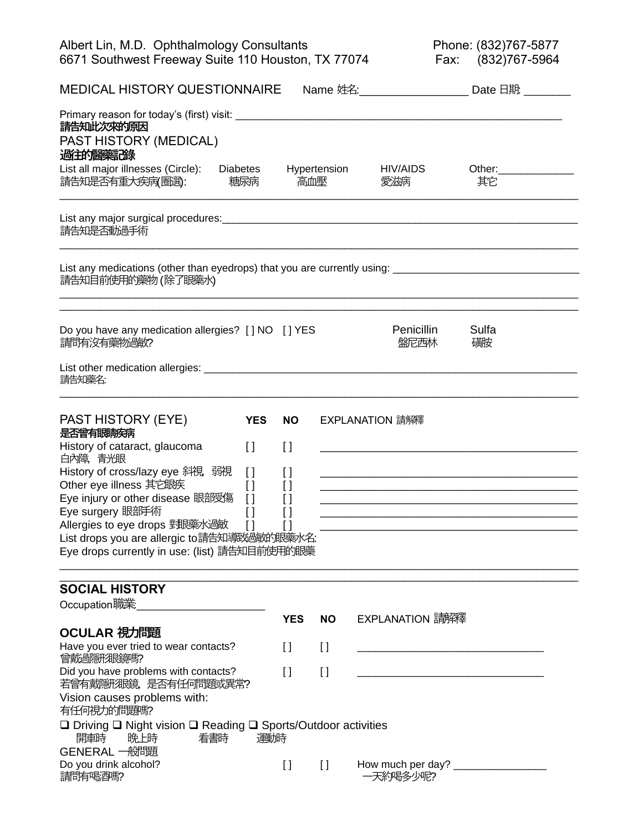| Albert Lin, M.D. Ophthalmology Consultants<br>6671 Southwest Freeway Suite 110 Houston, TX 77074                         |                                                       |                                          | Phone: (832)767-5877<br>Fax: (832)767-5964 |                                                                                                                       |  |              |
|--------------------------------------------------------------------------------------------------------------------------|-------------------------------------------------------|------------------------------------------|--------------------------------------------|-----------------------------------------------------------------------------------------------------------------------|--|--------------|
| MEDICAL HISTORY QUESTIONNAIRE                                                                                            | Name 姓名:_________________________ Date 日期: __________ |                                          |                                            |                                                                                                                       |  |              |
| 請告知此次來的原因<br>PAST HISTORY (MEDICAL)<br>過油惱藥識<br>List all major illnesses (Circle):<br>Diabetes<br>請告知是否有重大疾病(圈選):<br>糖尿病 |                                                       | 高血壓                                      | Hypertension                               | <b>HIV/AIDS</b><br>愛滋病                                                                                                |  | Other:<br>其它 |
| 請告知是否動過手術                                                                                                                |                                                       |                                          |                                            |                                                                                                                       |  |              |
| 請告知目前使用的藥物 (除了眼藥水)                                                                                                       |                                                       |                                          |                                            |                                                                                                                       |  |              |
| Do you have any medication allergies? [] NO [] YES<br>請問有沒有藥物過敏?                                                         |                                                       |                                          |                                            | <b>Penicillin</b><br>盤尼西林                                                                                             |  | Sulfa<br>礒胺  |
| 請告知藥名:                                                                                                                   |                                                       |                                          |                                            |                                                                                                                       |  |              |
| PAST HISTORY (EYE)<br>是否曾有眼睛安病                                                                                           | <b>YES</b>                                            | <b>NO</b>                                |                                            | EXPLANATION 請解釋                                                                                                       |  |              |
| History of cataract, glaucoma<br>白內障 青光眼                                                                                 | $\mathbf{I}$                                          | $\mathbf{I}$                             |                                            | <u> 1989 - Johann Barbara, martin amerikan basar dan berasal dan berasal dalam basar dalam basar dalam basar dala</u> |  |              |
| History of cross/lazy eye 斜視,  弱視                                                                                        | $\begin{array}{c} \square \end{array}$                | $\begin{array}{c} \square \end{array}$   |                                            |                                                                                                                       |  |              |
| Other eye illness 其它眼疾<br>Eye injury or other disease 眼部受傷                                                               | $\Box$<br>$\Box$                                      | $\left[ \ \right]$<br>$\left[ \ \right]$ |                                            |                                                                                                                       |  |              |
| Eye surgery 眼部手術                                                                                                         | I l                                                   | $\left[ \ \right]$                       |                                            | <u> 1980 - Johann John Stone, mars eta biztanleria (h. 1980).</u>                                                     |  |              |
| Allergies to eye drops 對眼藥水過敏<br>List drops you are allergic to請告知導致過敏的眼藥水名:                                             | $\Box$                                                | H                                        |                                            |                                                                                                                       |  |              |
| Eye drops currently in use: (list) 請告知目前使用的眼藥                                                                            |                                                       |                                          |                                            |                                                                                                                       |  |              |
| <b>SOCIAL HISTORY</b><br>Occupation職業                                                                                    |                                                       |                                          |                                            |                                                                                                                       |  |              |
|                                                                                                                          |                                                       | <b>YES</b>                               | <b>NO</b>                                  | <b>EXPLANATION 請解釋</b>                                                                                                |  |              |
| OCULAR 視力問題<br>Have you ever tried to wear contacts?                                                                     |                                                       | $\mathbf{I}$                             | $\mathfrak{g}$                             |                                                                                                                       |  |              |
| 曾戴過隱形眼鏡嗎?<br>Did you have problems with contacts?                                                                        |                                                       | $\Box$                                   | $\lceil$                                   |                                                                                                                       |  |              |
| 若曾有戴隱形狠鏡,是否有任何問題或異常?<br>Vision causes problems with:                                                                     |                                                       |                                          |                                            |                                                                                                                       |  |              |
| 有任何視力的問題嗎?                                                                                                               |                                                       |                                          |                                            |                                                                                                                       |  |              |
| $\Box$ Driving $\Box$ Night vision $\Box$ Reading $\Box$ Sports/Outdoor activities<br>開車時<br>晚上時<br>看書時                  | 運辦                                                    |                                          |                                            |                                                                                                                       |  |              |
| GENERAL 一般問題<br>Do you drink alcohol?                                                                                    |                                                       | $\mathfrak{g}$                           | $\mathbf{I}$                               | How much per day? ________________                                                                                    |  |              |
| 請問有喝酒嗎?                                                                                                                  |                                                       |                                          |                                            | 一天約喝多少呢?                                                                                                              |  |              |